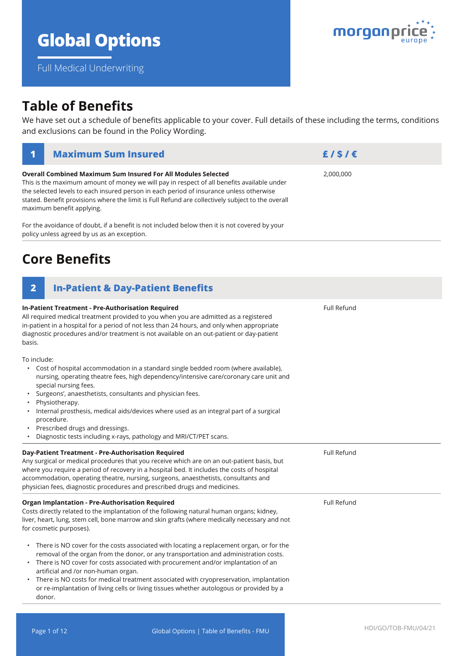# **Global Options**

**Overall Combined Maximum Sum Insured For All Modules Selected**

This is the maximum amount of money we will pay in respect of all benefits available under

Full Medical Underwriting

## **Table of Benefits**

We have set out a schedule of benefits applicable to your cover. Full details of these including the terms, conditions and exclusions can be found in the Policy Wording.

| the selected levels to each insured person in each period of insurance unless otherwise<br>stated. Benefit provisions where the limit is Full Refund are collectively subject to the overall<br>maximum benefit applying.                                                                                                                                                                                                                                                                                                         |                    |  |  |  |
|-----------------------------------------------------------------------------------------------------------------------------------------------------------------------------------------------------------------------------------------------------------------------------------------------------------------------------------------------------------------------------------------------------------------------------------------------------------------------------------------------------------------------------------|--------------------|--|--|--|
| For the avoidance of doubt, if a benefit is not included below then it is not covered by your<br>policy unless agreed by us as an exception.                                                                                                                                                                                                                                                                                                                                                                                      |                    |  |  |  |
| <b>Core Benefits</b>                                                                                                                                                                                                                                                                                                                                                                                                                                                                                                              |                    |  |  |  |
| <b>In-Patient &amp; Day-Patient Benefits</b><br>$\overline{2}$                                                                                                                                                                                                                                                                                                                                                                                                                                                                    |                    |  |  |  |
| In-Patient Treatment - Pre-Authorisation Required<br>All required medical treatment provided to you when you are admitted as a registered<br>in-patient in a hospital for a period of not less than 24 hours, and only when appropriate<br>diagnostic procedures and/or treatment is not available on an out-patient or day-patient<br>basis.                                                                                                                                                                                     | <b>Full Refund</b> |  |  |  |
| To include:<br>Cost of hospital accommodation in a standard single bedded room (where available),<br>nursing, operating theatre fees, high dependency/intensive care/coronary care unit and<br>special nursing fees.<br>Surgeons', anaesthetists, consultants and physician fees.<br>$\bullet$<br>Physiotherapy.<br>Internal prosthesis, medical aids/devices where used as an integral part of a surgical<br>procedure.<br>Prescribed drugs and dressings.<br>Diagnostic tests including x-rays, pathology and MRI/CT/PET scans. |                    |  |  |  |
| Day-Patient Treatment - Pre-Authorisation Required<br>Any surgical or medical procedures that you receive which are on an out-patient basis, but<br>where you require a period of recovery in a hospital bed. It includes the costs of hospital<br>accommodation, operating theatre, nursing, surgeons, anaesthetists, consultants and<br>physician fees, diagnostic procedures and prescribed drugs and medicines.                                                                                                               | <b>Full Refund</b> |  |  |  |
| <b>Organ Implantation - Pre-Authorisation Required</b><br>Costs directly related to the implantation of the following natural human organs; kidney,                                                                                                                                                                                                                                                                                                                                                                               | Full Refund        |  |  |  |

liver, heart, lung, stem cell, bone marrow and skin grafts (where medically necessary and not for cosmetic purposes).

- There is NO cover for the costs associated with locating a replacement organ, or for the removal of the organ from the donor, or any transportation and administration costs.
- There is NO cover for costs associated with procurement and/or implantation of an artificial and /or non-human organ.
- There is NO costs for medical treatment associated with cryopreservation, implantation or re-implantation of living cells or living tissues whether autologous or provided by a donor.



2,000,000

**1 Maximum Sum Insured £ / \$ / €**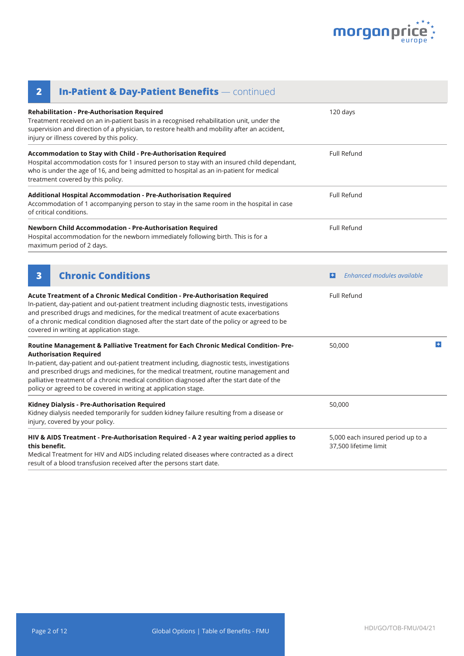

| <b>In-Patient &amp; Day-Patient Benefits</b> — continued<br>$\overline{\mathbf{2}}$                                                                                                                                                                                                                                                                                                                                                                                           |                                                            |   |
|-------------------------------------------------------------------------------------------------------------------------------------------------------------------------------------------------------------------------------------------------------------------------------------------------------------------------------------------------------------------------------------------------------------------------------------------------------------------------------|------------------------------------------------------------|---|
| Rehabilitation - Pre-Authorisation Required<br>Treatment received on an in-patient basis in a recognised rehabilitation unit, under the<br>supervision and direction of a physician, to restore health and mobility after an accident,<br>injury or illness covered by this policy.                                                                                                                                                                                           | 120 days                                                   |   |
| Accommodation to Stay with Child - Pre-Authorisation Required<br>Hospital accommodation costs for 1 insured person to stay with an insured child dependant,<br>who is under the age of 16, and being admitted to hospital as an in-patient for medical<br>treatment covered by this policy.                                                                                                                                                                                   | <b>Full Refund</b>                                         |   |
| Additional Hospital Accommodation - Pre-Authorisation Required<br>Accommodation of 1 accompanying person to stay in the same room in the hospital in case<br>of critical conditions.                                                                                                                                                                                                                                                                                          | Full Refund                                                |   |
| Newborn Child Accommodation - Pre-Authorisation Required<br>Hospital accommodation for the newborn immediately following birth. This is for a<br>maximum period of 2 days.                                                                                                                                                                                                                                                                                                    | <b>Full Refund</b>                                         |   |
| <b>Chronic Conditions</b><br>3                                                                                                                                                                                                                                                                                                                                                                                                                                                | Enhanced modules available<br>$\left  \bm{+} \right $      |   |
| Acute Treatment of a Chronic Medical Condition - Pre-Authorisation Required<br>In-patient, day-patient and out-patient treatment including diagnostic tests, investigations<br>and prescribed drugs and medicines, for the medical treatment of acute exacerbations<br>of a chronic medical condition diagnosed after the start date of the policy or agreed to be<br>covered in writing at application stage.                                                                | <b>Full Refund</b>                                         |   |
| Routine Management & Palliative Treatment for Each Chronic Medical Condition- Pre-<br><b>Authorisation Required</b><br>In-patient, day-patient and out-patient treatment including, diagnostic tests, investigations<br>and prescribed drugs and medicines, for the medical treatment, routine management and<br>palliative treatment of a chronic medical condition diagnosed after the start date of the<br>policy or agreed to be covered in writing at application stage. | 50,000                                                     | ÷ |
| Kidney Dialysis - Pre-Authorisation Required<br>Kidney dialysis needed temporarily for sudden kidney failure resulting from a disease or<br>injury, covered by your policy.                                                                                                                                                                                                                                                                                                   | 50,000                                                     |   |
| HIV & AIDS Treatment - Pre-Authorisation Required - A 2 year waiting period applies to<br>this benefit.<br>Medical Treatment for HIV and AIDS including related diseases where contracted as a direct<br>result of a blood transfusion received after the persons start date.                                                                                                                                                                                                 | 5,000 each insured period up to a<br>37,500 lifetime limit |   |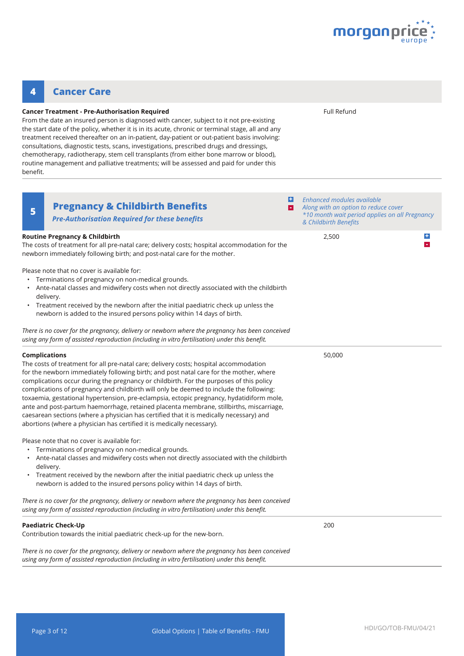

#### **Pregnancy & Childbirth Benefits <sup>5</sup> + -** *Enhanced modules available* **Routine Pregnancy & Childbirth** The costs of treatment for all pre-natal care; delivery costs; hospital accommodation for the newborn immediately following birth; and post-natal care for the mother. Please note that no cover is available for: • Terminations of pregnancy on non-medical grounds. • Ante-natal classes and midwifery costs when not directly associated with the childbirth delivery. • Treatment received by the newborn after the initial paediatric check up unless the newborn is added to the insured persons policy within 14 days of birth. *There is no cover for the pregnancy, delivery or newborn where the pregnancy has been conceived using any form of assisted reproduction (including in vitro fertilisation) under this benefit.*  2,500 **Complications** The costs of treatment for all pre-natal care; delivery costs; hospital accommodation for the newborn immediately following birth; and post natal care for the mother, where complications occur during the pregnancy or childbirth. For the purposes of this policy complications of pregnancy and childbirth will only be deemed to include the following: toxaemia, gestational hypertension, pre-eclampsia, ectopic pregnancy, hydatidiform mole, ante and post-partum haemorrhage, retained placenta membrane, stillbirths, miscarriage, caesarean sections (where a physician has certified that it is medically necessary) and 50,000 consultations, diagnostic tests, scans, investigations, prescribed drugs and dressings, chemotherapy, radiotherapy, stem cell transplants (from either bone marrow or blood), routine management and palliative treatments; will be assessed and paid for under this benefit. *Pre-Authorisation Required for these benefits*

Please note that no cover is available for:

**Cancer Treatment - Pre-Authorisation Required**

**4 Cancer Care**

From the date an insured person is diagnosed with cancer, subject to it not pre-existing the start date of the policy, whether it is in its acute, chronic or terminal stage, all and any treatment received thereafter on an in-patient, day-patient or out-patient basis involving:

• Terminations of pregnancy on non-medical grounds.

abortions (where a physician has certified it is medically necessary).

• Ante-natal classes and midwifery costs when not directly associated with the childbirth delivery.

• Treatment received by the newborn after the initial paediatric check up unless the newborn is added to the insured persons policy within 14 days of birth.

*There is no cover for the pregnancy, delivery or newborn where the pregnancy has been conceived using any form of assisted reproduction (including in vitro fertilisation) under this benefit.* 

### **Paediatric Check-Up**

Contribution towards the initial paediatric check-up for the new-born.

*There is no cover for the pregnancy, delivery or newborn where the pregnancy has been conceived using any form of assisted reproduction (including in vitro fertilisation) under this benefit.* 

*Along with an option to reduce cover \*10 month wait period applies on all Pregnancy & Childbirth Benefits*

Full Refund

**+ -**

200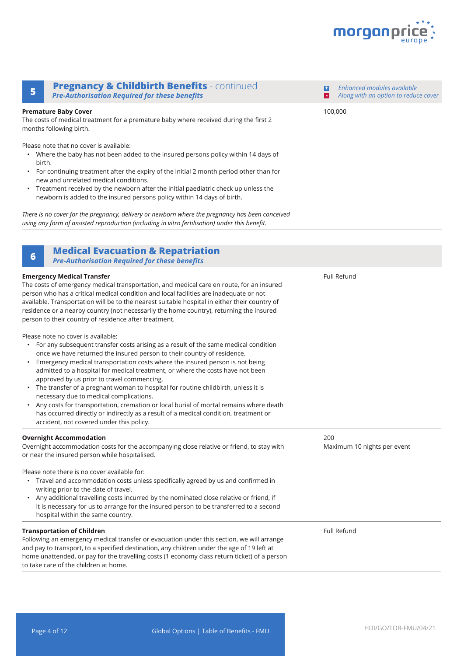

*Enhanced modules available Along with an option to reduce cover*

### **Pregnancy & Childbirth Benefits** - continued **<sup>5</sup> -** *Pre-Authorisation Required for these benefits*

#### **Premature Baby Cover**

The costs of medical treatment for a premature baby where received during the first 2 months following birth.

Please note that no cover is available:

- Where the baby has not been added to the insured persons policy within 14 days of birth.
- For continuing treatment after the expiry of the initial 2 month period other than for new and unrelated medical conditions.
- Treatment received by the newborn after the initial paediatric check up unless the newborn is added to the insured persons policy within 14 days of birth.

*There is no cover for the pregnancy, delivery or newborn where the pregnancy has been conceived using any form of assisted reproduction (including in vitro fertilisation) under this benefit.* 

### **Medical Evacuation & Repatriation <sup>6</sup>**

*Pre-Authorisation Required for these benefits*

#### **Emergency Medical Transfer** The costs of emergency medical transportation, and medical care en route, for an insured person who has a critical medical condition and local facilities are inadequate or not available. Transportation will be to the nearest suitable hospital in either their country of residence or a nearby country (not necessarily the home country), returning the insured person to their country of residence after treatment. Please note no cover is available: • For any subsequent transfer costs arising as a result of the same medical condition once we have returned the insured person to their country of residence. • Emergency medical transportation costs where the insured person is not being admitted to a hospital for medical treatment, or where the costs have not been approved by us prior to travel commencing. • The transfer of a pregnant woman to hospital for routine childbirth, unless it is necessary due to medical complications. • Any costs for transportation, cremation or local burial of mortal remains where death has occurred directly or indirectly as a result of a medical condition, treatment or accident, not covered under this policy. Full Refund **Overnight Accommodation** Overnight accommodation costs for the accompanying close relative or friend, to stay with or near the insured person while hospitalised. Please note there is no cover available for: • Travel and accommodation costs unless specifically agreed by us and confirmed in writing prior to the date of travel. • Any additional travelling costs incurred by the nominated close relative or friend, if it is necessary for us to arrange for the insured person to be transferred to a second hospital within the same country. 200 Maximum 10 nights per event **Transportation of Children** Following an emergency medical transfer or evacuation under this section, we will arrange and pay to transport, to a specified destination, any children under the age of 19 left at home unattended, or pay for the travelling costs (1 economy class return ticket) of a person to take care of the children at home. Full Refund

100,000

**+**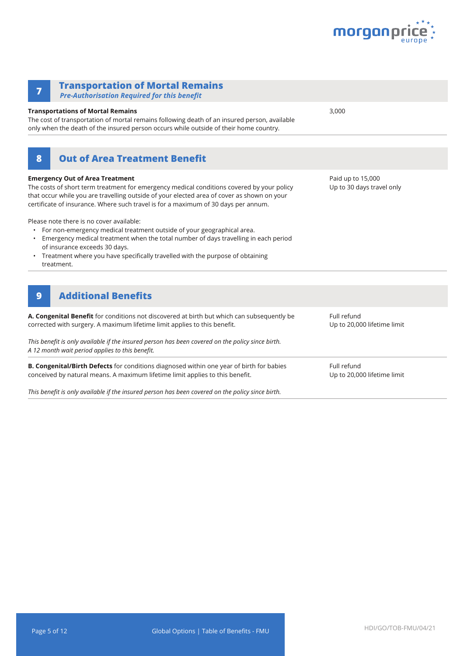

| <b>Transportation of Mortal Remains</b><br>7<br><b>Pre-Authorisation Required for this benefit</b>                                                                                                                                                                                                                                        |                                                |
|-------------------------------------------------------------------------------------------------------------------------------------------------------------------------------------------------------------------------------------------------------------------------------------------------------------------------------------------|------------------------------------------------|
| <b>Transportations of Mortal Remains</b><br>The cost of transportation of mortal remains following death of an insured person, available<br>only when the death of the insured person occurs while outside of their home country.                                                                                                         | 3,000                                          |
| <b>Out of Area Treatment Benefit</b><br>8                                                                                                                                                                                                                                                                                                 |                                                |
| <b>Emergency Out of Area Treatment</b><br>The costs of short term treatment for emergency medical conditions covered by your policy<br>that occur while you are travelling outside of your elected area of cover as shown on your<br>certificate of insurance. Where such travel is for a maximum of 30 days per annum.                   | Paid up to 15,000<br>Up to 30 days travel only |
| Please note there is no cover available:<br>For non-emergency medical treatment outside of your geographical area.<br>Emergency medical treatment when the total number of days travelling in each period<br>of insurance exceeds 30 days.<br>Treatment where you have specifically travelled with the purpose of obtaining<br>treatment. |                                                |
| <b>Additional Benefits</b><br>$\boldsymbol{9}$                                                                                                                                                                                                                                                                                            |                                                |
| A. Congenital Benefit for conditions not discovered at birth but which can subsequently be<br>corrected with surgery. A maximum lifetime limit applies to this benefit.                                                                                                                                                                   | Full refund<br>Up to 20,000 lifetime limit     |
| This benefit is only available if the insured person has been covered on the policy since birth.<br>A 12 month wait period applies to this benefit.                                                                                                                                                                                       |                                                |
| B. Congenital/Birth Defects for conditions diagnosed within one year of birth for babies<br>conceived by natural means. A maximum lifetime limit applies to this benefit.                                                                                                                                                                 | Full refund<br>Up to 20,000 lifetime limit     |

*This benefit is only available if the insured person has been covered on the policy since birth.*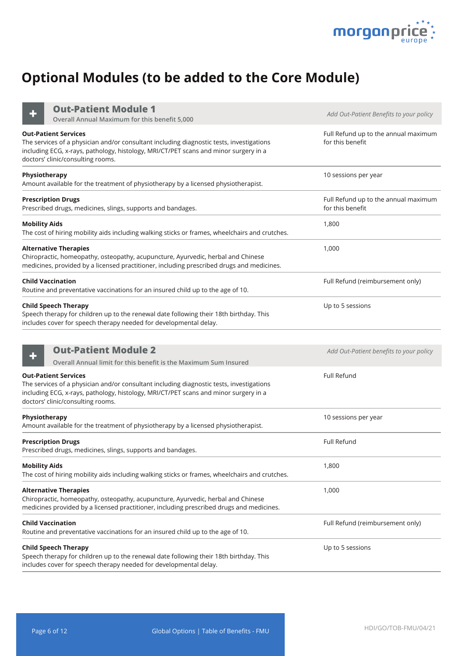

# **Optional Modules (to be added to the Core Module)**

**Out-Patient Module 1**

| <b>Out-Patient Module 1</b><br>Overall Annual Maximum for this benefit 5,000                                                                                                                                                                         | Add Out-Patient Benefits to your policy                  |
|------------------------------------------------------------------------------------------------------------------------------------------------------------------------------------------------------------------------------------------------------|----------------------------------------------------------|
| <b>Out-Patient Services</b><br>The services of a physician and/or consultant including diagnostic tests, investigations<br>including ECG, x-rays, pathology, histology, MRI/CT/PET scans and minor surgery in a<br>doctors' clinic/consulting rooms. | Full Refund up to the annual maximum<br>for this benefit |
| Physiotherapy<br>Amount available for the treatment of physiotherapy by a licensed physiotherapist.                                                                                                                                                  | 10 sessions per year                                     |
| <b>Prescription Drugs</b><br>Prescribed drugs, medicines, slings, supports and bandages.                                                                                                                                                             | Full Refund up to the annual maximum<br>for this benefit |
| <b>Mobility Aids</b><br>The cost of hiring mobility aids including walking sticks or frames, wheelchairs and crutches.                                                                                                                               | 1,800                                                    |
| <b>Alternative Therapies</b><br>Chiropractic, homeopathy, osteopathy, acupuncture, Ayurvedic, herbal and Chinese<br>medicines, provided by a licensed practitioner, including prescribed drugs and medicines.                                        | 1,000                                                    |
| <b>Child Vaccination</b><br>Routine and preventative vaccinations for an insured child up to the age of 10.                                                                                                                                          | Full Refund (reimbursement only)                         |
| <b>Child Speech Therapy</b><br>Speech therapy for children up to the renewal date following their 18th birthday. This<br>includes cover for speech therapy needed for developmental delay.                                                           | Up to 5 sessions                                         |
| <b>Out-Patient Module 2</b><br>Overall Annual limit for this benefit is the Maximum Sum Insured                                                                                                                                                      | Add Out-Patient benefits to your policy                  |
| <b>Out-Patient Services</b><br>The services of a physician and/or consultant including diagnostic tests, investigations<br>including ECG, x-rays, pathology, histology, MRI/CT/PET scans and minor surgery in a<br>doctors' clinic/consulting rooms. | Full Refund                                              |
| Physiotherapy<br>Amount available for the treatment of physiotherapy by a licensed physiotherapist.                                                                                                                                                  | 10 sessions per year                                     |
| <b>Prescription Drugs</b><br>Prescribed drugs, medicines, slings, supports and bandages.                                                                                                                                                             | Full Refund                                              |
| <b>Mobility Aids</b><br>The cost of hiring mobility aids including walking sticks or frames, wheelchairs and crutches.                                                                                                                               | 1,800                                                    |
| <b>Alternative Therapies</b><br>Chiropractic, homeopathy, osteopathy, acupuncture, Ayurvedic, herbal and Chinese<br>medicines provided by a licensed practitioner, including prescribed drugs and medicines.                                         | 1,000                                                    |
| <b>Child Vaccination</b><br>Routine and preventative vaccinations for an insured child up to the age of 10.                                                                                                                                          | Full Refund (reimbursement only)                         |
| <b>Child Speech Therapy</b><br>Speech therapy for children up to the renewal date following their 18th birthday. This<br>includes cover for speech therapy needed for developmental delay.                                                           | Up to 5 sessions                                         |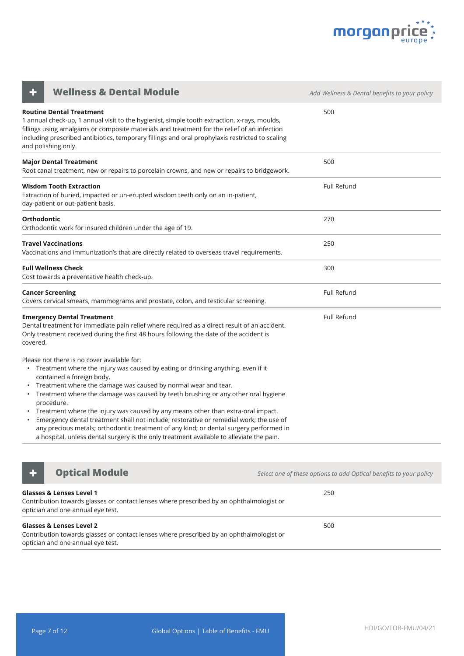

| <b>Wellness &amp; Dental Module</b>                                                                                                                                                                                                                                                                                                                                                                                                                                                                                                                                                                                                                                                                         | Add Wellness & Dental benefits to your policy |
|-------------------------------------------------------------------------------------------------------------------------------------------------------------------------------------------------------------------------------------------------------------------------------------------------------------------------------------------------------------------------------------------------------------------------------------------------------------------------------------------------------------------------------------------------------------------------------------------------------------------------------------------------------------------------------------------------------------|-----------------------------------------------|
| <b>Routine Dental Treatment</b><br>1 annual check-up, 1 annual visit to the hygienist, simple tooth extraction, x-rays, moulds,<br>fillings using amalgams or composite materials and treatment for the relief of an infection<br>including prescribed antibiotics, temporary fillings and oral prophylaxis restricted to scaling<br>and polishing only.                                                                                                                                                                                                                                                                                                                                                    | 500                                           |
| <b>Major Dental Treatment</b><br>Root canal treatment, new or repairs to porcelain crowns, and new or repairs to bridgework.                                                                                                                                                                                                                                                                                                                                                                                                                                                                                                                                                                                | 500                                           |
| <b>Wisdom Tooth Extraction</b><br>Extraction of buried, impacted or un-erupted wisdom teeth only on an in-patient,<br>day-patient or out-patient basis.                                                                                                                                                                                                                                                                                                                                                                                                                                                                                                                                                     | <b>Full Refund</b>                            |
| Orthodontic<br>Orthodontic work for insured children under the age of 19.                                                                                                                                                                                                                                                                                                                                                                                                                                                                                                                                                                                                                                   | 270                                           |
| <b>Travel Vaccinations</b><br>Vaccinations and immunization's that are directly related to overseas travel requirements.                                                                                                                                                                                                                                                                                                                                                                                                                                                                                                                                                                                    | 250                                           |
| <b>Full Wellness Check</b><br>Cost towards a preventative health check-up.                                                                                                                                                                                                                                                                                                                                                                                                                                                                                                                                                                                                                                  | 300                                           |
| <b>Cancer Screening</b><br>Covers cervical smears, mammograms and prostate, colon, and testicular screening.                                                                                                                                                                                                                                                                                                                                                                                                                                                                                                                                                                                                | Full Refund                                   |
| <b>Emergency Dental Treatment</b><br>Dental treatment for immediate pain relief where required as a direct result of an accident.<br>Only treatment received during the first 48 hours following the date of the accident is<br>covered.                                                                                                                                                                                                                                                                                                                                                                                                                                                                    | Full Refund                                   |
| Please not there is no cover available for:<br>• Treatment where the injury was caused by eating or drinking anything, even if it<br>contained a foreign body.<br>Treatment where the damage was caused by normal wear and tear.<br>• Treatment where the damage was caused by teeth brushing or any other oral hygiene<br>procedure.<br>• Treatment where the injury was caused by any means other than extra-oral impact.<br>Emergency dental treatment shall not include; restorative or remedial work; the use of<br>any precious metals; orthodontic treatment of any kind; or dental surgery performed in<br>a hospital, unless dental surgery is the only treatment available to alleviate the pain. |                                               |



**+ Optical Module** *Continued Module Select one of these options to add Optical benefits to your policy* 

| <b>Glasses &amp; Lenses Level 1</b><br>Contribution towards glasses or contact lenses where prescribed by an ophthalmologist or<br>optician and one annual eye test. | 250 |
|----------------------------------------------------------------------------------------------------------------------------------------------------------------------|-----|
| Glasses & Lenses Level 2<br>Contribution towards glasses or contact lenses where prescribed by an ophthalmologist or<br>optician and one annual eye test.            | 500 |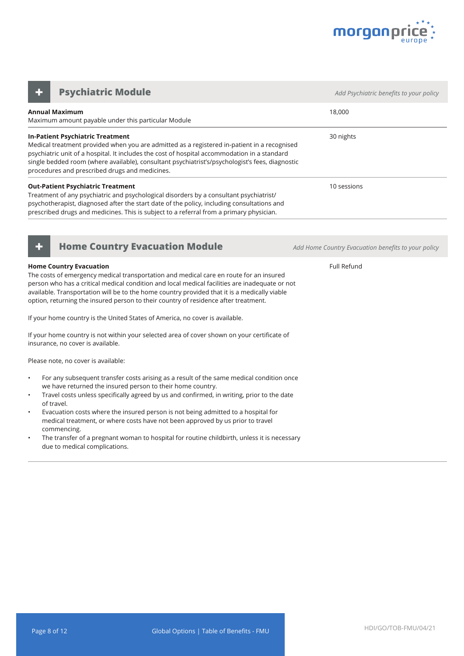

**Annual Maximum** Maximum amount payable under this particular Module 18,000 **In-Patient Psychiatric Treatment** Medical treatment provided when you are admitted as a registered in-patient in a recognised psychiatric unit of a hospital. It includes the cost of hospital accommodation in a standard single bedded room (where available), consultant psychiatrist's/psychologist's fees, diagnostic procedures and prescribed drugs and medicines. 30 nights **Out-Patient Psychiatric Treatment** Treatment of any psychiatric and psychological disorders by a consultant psychiatrist/ psychotherapist, diagnosed after the start date of the policy, including consultations and prescribed drugs and medicines. This is subject to a referral from a primary physician. 10 sessions **Psychiatric Module** *CONDUCTER <b>Adders Add Psychiatric benefits to your policy Adderson in the Add Psychiatric benefits to your policy* 



#### **Home Country Evacuation**

The costs of emergency medical transportation and medical care en route for an insured person who has a critical medical condition and local medical facilities are inadequate or not available. Transportation will be to the home country provided that it is a medically viable option, returning the insured person to their country of residence after treatment.

If your home country is the United States of America, no cover is available.

If your home country is not within your selected area of cover shown on your certificate of insurance, no cover is available.

Please note, no cover is available:

- For any subsequent transfer costs arising as a result of the same medical condition once we have returned the insured person to their home country.
- Travel costs unless specifically agreed by us and confirmed, in writing, prior to the date of travel.
- Evacuation costs where the insured person is not being admitted to a hospital for medical treatment, or where costs have not been approved by us prior to travel commencing.
- The transfer of a pregnant woman to hospital for routine childbirth, unless it is necessary due to medical complications.

**+ Home Country Evacuation Module** *Add Home Country Evacuation benefits to your policy*

Full Refund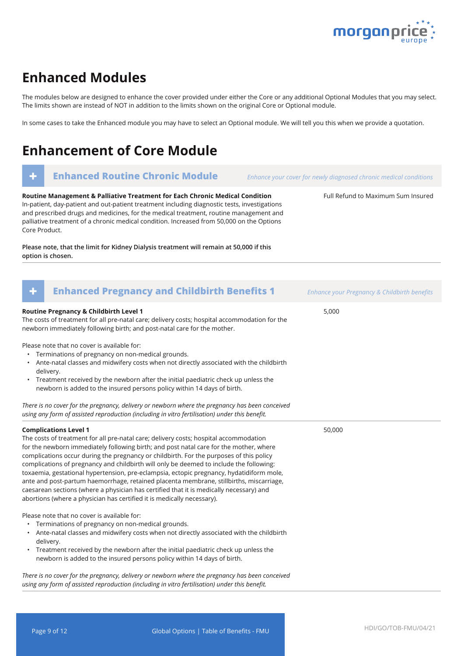

Full Refund to Maximum Sum Insured

### **Enhanced Modules**

The modules below are designed to enhance the cover provided under either the Core or any additional Optional Modules that you may select. The limits shown are instead of NOT in addition to the limits shown on the original Core or Optional module.

In some cases to take the Enhanced module you may have to select an Optional module. We will tell you this when we provide a quotation.

## **Enhancement of Core Module**

### **+ Enhanced Routine Chronic Module** *Enhance your cover for newly diagnosed chronic medical conditions*

**Routine Management & Palliative Treatment for Each Chronic Medical Condition** In-patient, day-patient and out-patient treatment including diagnostic tests, investigations and prescribed drugs and medicines, for the medical treatment, routine management and palliative treatment of a chronic medical condition. Increased from 50,000 on the Options Core Product.

**Please note, that the limit for Kidney Dialysis treatment will remain at 50,000 if this option is chosen.**

| <b>Enhanced Pregnancy and Childbirth Benefits 1</b><br>÷                                                                                                                                                                                                                                                                                                                                                                                                                                                                                                                                                                                                                                                                                                          | Enhance your Pregnancy & Childbirth benefits |
|-------------------------------------------------------------------------------------------------------------------------------------------------------------------------------------------------------------------------------------------------------------------------------------------------------------------------------------------------------------------------------------------------------------------------------------------------------------------------------------------------------------------------------------------------------------------------------------------------------------------------------------------------------------------------------------------------------------------------------------------------------------------|----------------------------------------------|
| <b>Routine Pregnancy &amp; Childbirth Level 1</b><br>The costs of treatment for all pre-natal care; delivery costs; hospital accommodation for the<br>newborn immediately following birth; and post-natal care for the mother.                                                                                                                                                                                                                                                                                                                                                                                                                                                                                                                                    | 5,000                                        |
| Please note that no cover is available for:<br>• Terminations of pregnancy on non-medical grounds.<br>• Ante-natal classes and midwifery costs when not directly associated with the childbirth<br>delivery.<br>• Treatment received by the newborn after the initial paediatric check up unless the<br>newborn is added to the insured persons policy within 14 days of birth.                                                                                                                                                                                                                                                                                                                                                                                   |                                              |
| There is no cover for the pregnancy, delivery or newborn where the pregnancy has been conceived<br>using any form of assisted reproduction (including in vitro fertilisation) under this benefit.                                                                                                                                                                                                                                                                                                                                                                                                                                                                                                                                                                 |                                              |
| <b>Complications Level 1</b><br>The costs of treatment for all pre-natal care; delivery costs; hospital accommodation<br>for the newborn immediately following birth; and post natal care for the mother, where<br>complications occur during the pregnancy or childbirth. For the purposes of this policy<br>complications of pregnancy and childbirth will only be deemed to include the following:<br>toxaemia, gestational hypertension, pre-eclampsia, ectopic pregnancy, hydatidiform mole,<br>ante and post-partum haemorrhage, retained placenta membrane, stillbirths, miscarriage,<br>caesarean sections (where a physician has certified that it is medically necessary) and<br>abortions (where a physician has certified it is medically necessary). | 50,000                                       |
| Please note that no cover is available for:<br>Terminations of pregnancy on non-medical grounds.<br>$\bullet$<br>• Ante-natal classes and midwifery costs when not directly associated with the childbirth<br>delivery.<br>• Treatment received by the newborn after the initial paediatric check up unless the<br>newborn is added to the insured persons policy within 14 days of birth.<br>There is no cover for the pregnancy delivery or newhorn where the pregnancy has heen conceived                                                                                                                                                                                                                                                                      |                                              |

*There is no cover for the pregnancy, delivery or newborn where the pregnancy has been conceived using any form of assisted reproduction (including in vitro fertilisation) under this benefit.*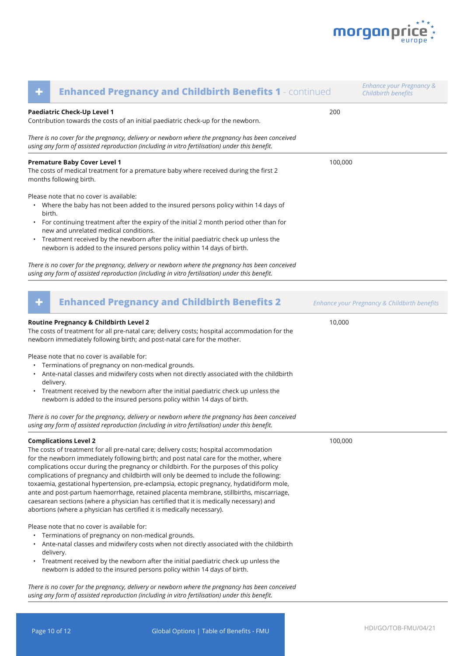

| ٠                   | <b>Enhanced Pregnancy and Childbirth Benefits 1 - continued</b>                                                                                                                                                                                                                                                                                                                                                                                                                                                                                                                                                                                                                                                                                                   |         | <b>Enhance your Pregnancy &amp;</b><br>Childbirth benefits |
|---------------------|-------------------------------------------------------------------------------------------------------------------------------------------------------------------------------------------------------------------------------------------------------------------------------------------------------------------------------------------------------------------------------------------------------------------------------------------------------------------------------------------------------------------------------------------------------------------------------------------------------------------------------------------------------------------------------------------------------------------------------------------------------------------|---------|------------------------------------------------------------|
|                     | Paediatric Check-Up Level 1<br>Contribution towards the costs of an initial paediatric check-up for the newborn.                                                                                                                                                                                                                                                                                                                                                                                                                                                                                                                                                                                                                                                  | 200     |                                                            |
|                     | There is no cover for the pregnancy, delivery or newborn where the pregnancy has been conceived<br>using any form of assisted reproduction (including in vitro fertilisation) under this benefit.                                                                                                                                                                                                                                                                                                                                                                                                                                                                                                                                                                 |         |                                                            |
|                     | <b>Premature Baby Cover Level 1</b><br>The costs of medical treatment for a premature baby where received during the first 2<br>months following birth.                                                                                                                                                                                                                                                                                                                                                                                                                                                                                                                                                                                                           | 100,000 |                                                            |
| birth.<br>$\bullet$ | Please note that no cover is available:<br>Where the baby has not been added to the insured persons policy within 14 days of<br>For continuing treatment after the expiry of the initial 2 month period other than for<br>new and unrelated medical conditions.<br>Treatment received by the newborn after the initial paediatric check up unless the<br>newborn is added to the insured persons policy within 14 days of birth.                                                                                                                                                                                                                                                                                                                                  |         |                                                            |
|                     | There is no cover for the pregnancy, delivery or newborn where the pregnancy has been conceived<br>using any form of assisted reproduction (including in vitro fertilisation) under this benefit.                                                                                                                                                                                                                                                                                                                                                                                                                                                                                                                                                                 |         |                                                            |
| ٠                   | <b>Enhanced Pregnancy and Childbirth Benefits 2</b>                                                                                                                                                                                                                                                                                                                                                                                                                                                                                                                                                                                                                                                                                                               |         | Enhance your Pregnancy & Childbirth benefits               |
|                     | Routine Pregnancy & Childbirth Level 2<br>The costs of treatment for all pre-natal care; delivery costs; hospital accommodation for the<br>newborn immediately following birth; and post-natal care for the mother.<br>Please note that no cover is available for:                                                                                                                                                                                                                                                                                                                                                                                                                                                                                                | 10,000  |                                                            |
| ٠<br>٠              | Terminations of pregnancy on non-medical grounds.<br>Ante-natal classes and midwifery costs when not directly associated with the childbirth<br>delivery.<br>Treatment received by the newborn after the initial paediatric check up unless the<br>newborn is added to the insured persons policy within 14 days of birth.                                                                                                                                                                                                                                                                                                                                                                                                                                        |         |                                                            |
|                     | There is no cover for the pregnancy, delivery or newborn where the pregnancy has been conceived<br>using any form of assisted reproduction (including in vitro fertilisation) under this benefit.                                                                                                                                                                                                                                                                                                                                                                                                                                                                                                                                                                 |         |                                                            |
|                     | <b>Complications Level 2</b><br>The costs of treatment for all pre-natal care; delivery costs; hospital accommodation<br>for the newborn immediately following birth; and post natal care for the mother, where<br>complications occur during the pregnancy or childbirth. For the purposes of this policy<br>complications of pregnancy and childbirth will only be deemed to include the following:<br>toxaemia, gestational hypertension, pre-eclampsia, ectopic pregnancy, hydatidiform mole,<br>ante and post-partum haemorrhage, retained placenta membrane, stillbirths, miscarriage,<br>caesarean sections (where a physician has certified that it is medically necessary) and<br>abortions (where a physician has certified it is medically necessary). | 100,000 |                                                            |
| $\bullet$           | Please note that no cover is available for:<br>Terminations of pregnancy on non-medical grounds.<br>Ante-natal classes and midwifery costs when not directly associated with the childbirth<br>delivery.<br>Treatment received by the newborn after the initial paediatric check up unless the<br>newborn is added to the insured persons policy within 14 days of birth.                                                                                                                                                                                                                                                                                                                                                                                         |         |                                                            |
|                     | There is no cover for the pregnancy, delivery or newborn where the pregnancy has been conceived<br>using any form of assisted reproduction (including in vitro fertilisation) under this benefit.                                                                                                                                                                                                                                                                                                                                                                                                                                                                                                                                                                 |         |                                                            |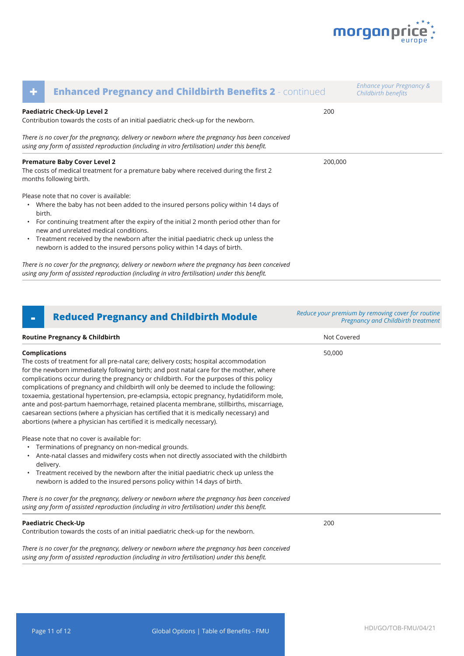

| ٠      | <b>Enhanced Pregnancy and Childbirth Benefits 2 - continued</b>                                                                                                                                                                                                     |         | Enhance your Pregnancy &<br>Childbirth benefits |
|--------|---------------------------------------------------------------------------------------------------------------------------------------------------------------------------------------------------------------------------------------------------------------------|---------|-------------------------------------------------|
|        | Paediatric Check-Up Level 2<br>Contribution towards the costs of an initial paediatric check-up for the newborn.                                                                                                                                                    | 200     |                                                 |
|        | There is no cover for the pregnancy, delivery or newborn where the pregnancy has been conceived<br>using any form of assisted reproduction (including in vitro fertilisation) under this benefit.                                                                   |         |                                                 |
|        | <b>Premature Baby Cover Level 2</b><br>The costs of medical treatment for a premature baby where received during the first 2<br>months following birth.                                                                                                             | 200,000 |                                                 |
| birth. | Please note that no cover is available:<br>• Where the baby has not been added to the insured persons policy within 14 days of<br>• For continuing treatment after the expiry of the initial 2 month period other than for<br>new and unrelated medical conditions. |         |                                                 |
|        | • Treatment received by the newborn after the initial paediatric check up unless the<br>newborn is added to the insured persons policy within 14 days of birth.                                                                                                     |         |                                                 |
|        | There is no cover for the pregnancy, delivery or newborn where the pregnancy has been conceived                                                                                                                                                                     |         |                                                 |

*using any form of assisted reproduction (including in vitro fertilisation) under this benefit.* 

### **- Reduced Pregnancy and Childbirth Module** *Reduce your premium by removing cover for routine*

**Routine Pregnancy & Childbirth Not Covered Not Covered Not Covered Not Covered Complications** The costs of treatment for all pre-natal care; delivery costs; hospital accommodation for the newborn immediately following birth; and post natal care for the mother, where complications occur during the pregnancy or childbirth. For the purposes of this policy complications of pregnancy and childbirth will only be deemed to include the following: toxaemia, gestational hypertension, pre-eclampsia, ectopic pregnancy, hydatidiform mole, ante and post-partum haemorrhage, retained placenta membrane, stillbirths, miscarriage, caesarean sections (where a physician has certified that it is medically necessary) and abortions (where a physician has certified it is medically necessary). Please note that no cover is available for: • Terminations of pregnancy on non-medical grounds. • Ante-natal classes and midwifery costs when not directly associated with the childbirth delivery. • Treatment received by the newborn after the initial paediatric check up unless the newborn is added to the insured persons policy within 14 days of birth. *There is no cover for the pregnancy, delivery or newborn where the pregnancy has been conceived using any form of assisted reproduction (including in vitro fertilisation) under this benefit.*  50,000 **Paediatric Check-Up** Contribution towards the costs of an initial paediatric check-up for the newborn. *There is no cover for the pregnancy, delivery or newborn where the pregnancy has been conceived*  200 *Pregnancy and Childbirth treatment*

*using any form of assisted reproduction (including in vitro fertilisation) under this benefit.*